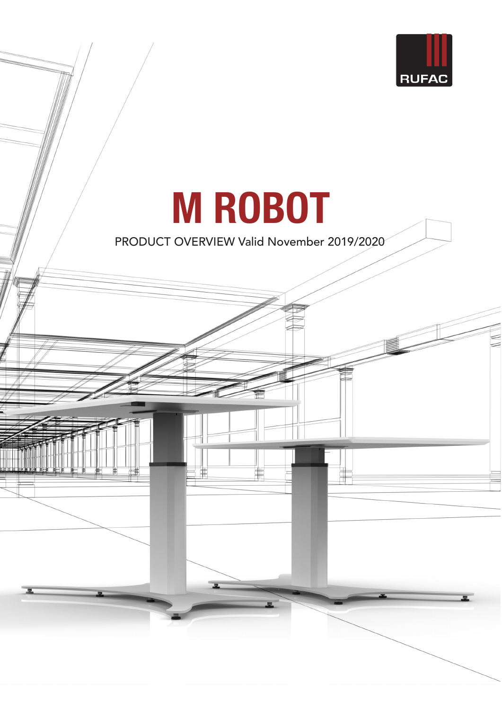

# **M ROBOT**

PRODUCT OVERVIEW Valid November 2019/2020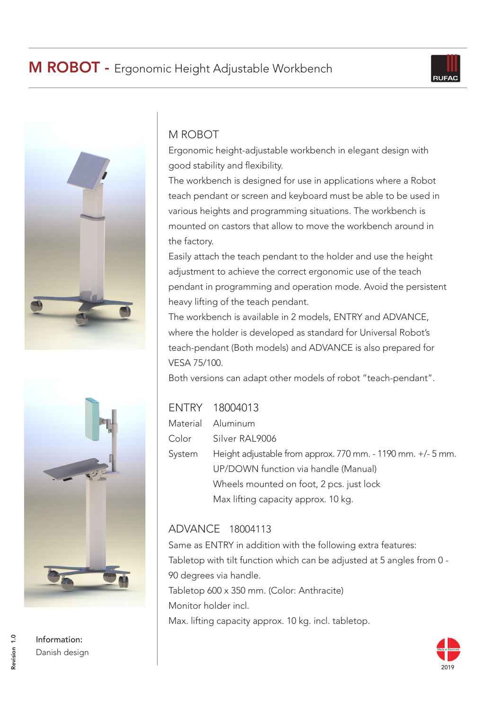



## M ROBOT

Ergonomic height-adjustable workbench in elegant design with good stability and flexibility.

The workbench is designed for use in applications where a Robot teach pendant or screen and keyboard must be able to be used in various heights and programming situations. The workbench is mounted on castors that allow to move the workbench around in the factory.

Easily attach the teach pendant to the holder and use the height adjustment to achieve the correct ergonomic use of the teach pendant in programming and operation mode. Avoid the persistent heavy lifting of the teach pendant.

The workbench is available in 2 models, ENTRY and ADVANCE, where the holder is developed as standard for Universal Robot's teach-pendant (Both models) and ADVANCE is also prepared for VESA 75/100.

Both versions can adapt other models of robot "teach-pendant".

|        | ENTRY 18004013                                              |
|--------|-------------------------------------------------------------|
|        | Material Aluminum                                           |
| Color  | Silver RAL9006                                              |
| System | Height adjustable from approx. 770 mm. - 1190 mm. +/- 5 mm. |
|        | UP/DOWN function via handle (Manual)                        |
|        | Wheels mounted on foot, 2 pcs. just lock                    |
|        | Max lifting capacity approx. 10 kg.                         |
|        |                                                             |

### ADVANCE 18004113

Same as ENTRY in addition with the following extra features: Tabletop with tilt function which can be adjusted at 5 angles from 0 - 90 degrees via handle. Tabletop 600 x 350 mm. (Color: Anthracite) Monitor holder incl. Max. lifting capacity approx. 10 kg. incl. tabletop.



Information: Danish design